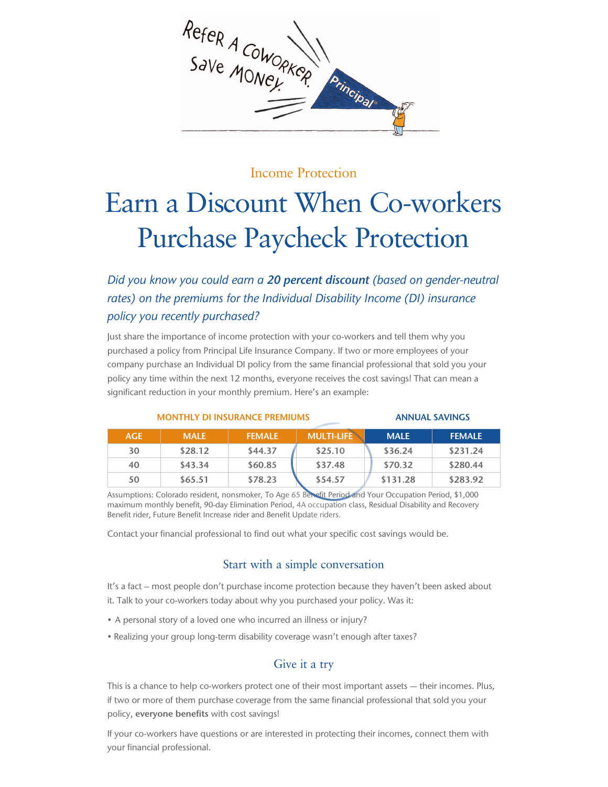

## Income Protection

## Earn a Discount When Co-workers Purchase Paycheck Protection

*Did you know you could earn a 20 percent discount (based on gender-neutral rates) on the premiums for the Individual Disability Income (DI) insurance policy you recently purchased?* 

Just share the importance of income protection with your co-workers and tell them why you purchased a policy from Principal Life Insurance Company. If two or more employees of your company purchase an Individual DI policy from the same financial professional that sold you your policy any time within the next 12 months, everyone receives the cost savings! That can mean a significant reduction in your monthly premium. Here's an example:

| <b>MONTHLY DI INSURANCE PREMIUMS</b> |             |               |                   | <b>ANNUAL SAVINGS</b> |               |
|--------------------------------------|-------------|---------------|-------------------|-----------------------|---------------|
| <b>AGE</b>                           | <b>MALE</b> | <b>FEMALE</b> | <b>MULTI-LIFE</b> | <b>MALE</b>           | <b>FEMALE</b> |
| 30                                   | \$28.12     | \$44.37       | \$25.10           | \$36.24               | \$231.24      |
| 40                                   | \$43.34     | \$60.85       | \$37.48           | \$70.32               | \$280.44      |

**50 \$65.51 \$78.23 \$54.57 \$131.28 \$283.92** Assumptions: Colorado resident, nonsmoker, To Age 65 Benefit Period and Your Occupation Period, \$1,000

maximum monthly benefit, 90-day Elimination Period, 4A occupation class, Residual Disability and Recovery Benefit rider, Future Benefit Increase rider and Benefit Update riders.

Contact your financial professional to find out what your specific cost savings would be.

## Start with a simple conversation

It's a fact – most people don't purchase income protection because they haven't been asked about it. Talk to your co-workers today about why you purchased your policy. Was it:

- A personal story of a loved one who incurred an illness or injury?
- Realizing your group long-term disability coverage wasn't enough after taxes?

## Give it a try

This is a chance to help co-workers protect one of their most important assets — their incomes. Plus, if two or more of them purchase coverage from the same financial professional that sold you your policy, **everyone benefits** with cost savings!

If your co-workers have questions or are interested in protecting their incomes, connect them with your financial professional.